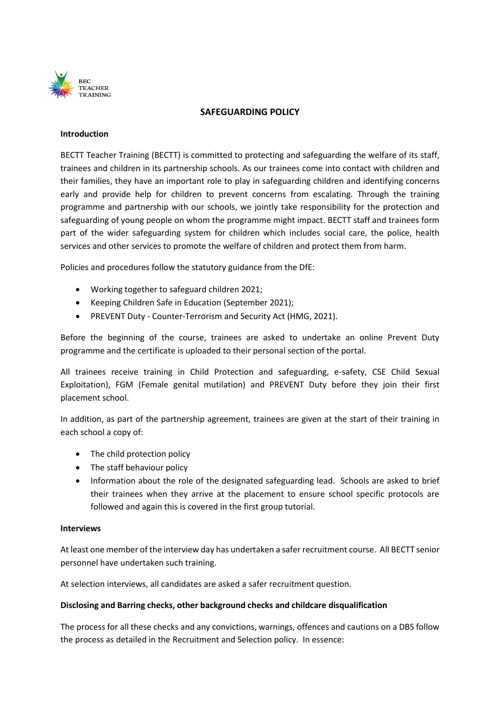

### **SAFEGUARDING POLICY**

#### **Introduction**

BECTT Teacher Training (BECTT) is committed to protecting and safeguarding the welfare of its staff, trainees and children in its partnership schools. As our trainees come into contact with children and their families, they have an important role to play in safeguarding children and identifying concerns early and provide help for children to prevent concerns from escalating. Through the training programme and partnership with our schools, we jointly take responsibility for the protection and safeguarding of young people on whom the programme might impact. BECTT staff and trainees form part of the wider safeguarding system for children which includes social care, the police, health services and other services to promote the welfare of children and protect them from harm.

Policies and procedures follow the statutory guidance from the DfE:

- Working together to safeguard children 2021;
- Keeping Children Safe in Education (September 2021);
- PREVENT Duty Counter-Terrorism and Security Act (HMG, 2021).

Before the beginning of the course, trainees are asked to undertake an online Prevent Duty programme and the certificate is uploaded to their personal section of the portal.

All trainees receive training in Child Protection and safeguarding, e-safety, CSE Child Sexual Exploitation), FGM (Female genital mutilation) and PREVENT Duty before they join their first placement school.

In addition, as part of the partnership agreement, trainees are given at the start of their training in each school a copy of:

- The child protection policy
- The staff behaviour policy
- Information about the role of the designated safeguarding lead. Schools are asked to brief their trainees when they arrive at the placement to ensure school specific protocols are followed and again this is covered in the first group tutorial.

#### **Interviews**

At least one member of the interview day has undertaken a safer recruitment course. All BECTT senior personnel have undertaken such training.

At selection interviews, all candidates are asked a safer recruitment question.

#### **Disclosing and Barring checks, other background checks and childcare disqualification**

The process for all these checks and any convictions, warnings, offences and cautions on a DBS follow the process as detailed in the Recruitment and Selection policy. In essence: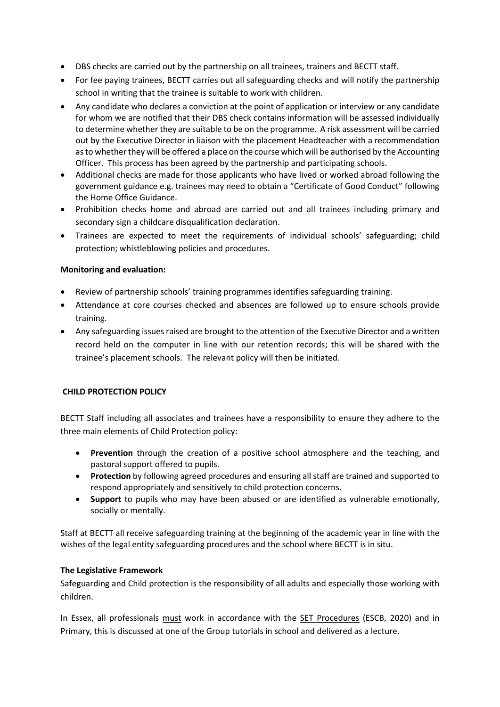- DBS checks are carried out by the partnership on all trainees, trainers and BECTT staff.
- For fee paying trainees, BECTT carries out all safeguarding checks and will notify the partnership school in writing that the trainee is suitable to work with children.
- Any candidate who declares a conviction at the point of application or interview or any candidate for whom we are notified that their DBS check contains information will be assessed individually to determine whether they are suitable to be on the programme. A risk assessment will be carried out by the Executive Director in liaison with the placement Headteacher with a recommendation as to whether they will be offered a place on the course which will be authorised by the Accounting Officer. This process has been agreed by the partnership and participating schools.
- Additional checks are made for those applicants who have lived or worked abroad following the government guidance e.g. trainees may need to obtain a "Certificate of Good Conduct" following the Home Office Guidance.
- Prohibition checks home and abroad are carried out and all trainees including primary and secondary sign a childcare disqualification declaration.
- Trainees are expected to meet the requirements of individual schools' safeguarding; child protection; whistleblowing policies and procedures.

# **Monitoring and evaluation:**

- Review of partnership schools' training programmes identifies safeguarding training.
- Attendance at core courses checked and absences are followed up to ensure schools provide training.
- Any safeguarding issues raised are brought to the attention of the Executive Director and a written record held on the computer in line with our retention records; this will be shared with the trainee's placement schools. The relevant policy will then be initiated.

# **CHILD PROTECTION POLICY**

BECTT Staff including all associates and trainees have a responsibility to ensure they adhere to the three main elements of Child Protection policy:

- **Prevention** through the creation of a positive school atmosphere and the teaching, and pastoral support offered to pupils.
- **Protection** by following agreed procedures and ensuring all staff are trained and supported to respond appropriately and sensitively to child protection concerns.
- **Support** to pupils who may have been abused or are identified as vulnerable emotionally, socially or mentally.

Staff at BECTT all receive safeguarding training at the beginning of the academic year in line with the wishes of the legal entity safeguarding procedures and the school where BECTT is in situ.

# **The Legislative Framework**

Safeguarding and Child protection is the responsibility of all adults and especially those working with children.

In Essex, all professionals must work in accordance with the [SET Procedures](http://www.escb.co.uk/Portals/15/Documents/Local%20Practices/SET%20Procedures%202015%20-%20Version%202%20August%202015.pdf) (ESCB, 2020) and in Primary, this is discussed at one of the Group tutorials in school and delivered as a lecture.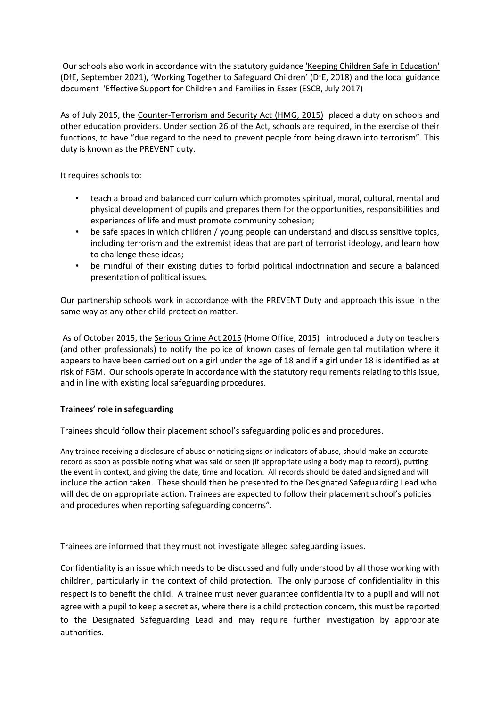Our schools also work in accordance with the statutory guidanc[e 'Keeping Children Safe in Education'](keepinhttps://www.gov.uk/government/uploads/system/uploads/attachment_data/file/447595/KCSIE_July_2015.pdf)  (DfE, September 2021), 'Working Together [to Safeguard Children](https://www.gov.uk/government/uploads/system/uploads/attachment_data/file/419595/Working_Together_to_Safeguard_Children.pdf)' (DfE, 2018) and the local guidance document '[Effective Support for Children and Families in Essex](http://www.escb.co.uk/Portals/15/Documents/Local%20Practices/Effective%20Support%20for%20Children%20and%20Families%20in%20Essex%20April%202013.pdf) (ESCB, July 2017)

As of July 2015, the [Counter-Terrorism and Security Act \(HMG, 2015\)](http://www.legislation.gov.uk/ukpga/2015/6/contents) placed a duty on schools and other education providers. Under section 26 of the Act, schools are required, in the exercise of their functions, to have "due regard to the need to prevent people from being drawn into terrorism". This duty is known as the PREVENT duty.

It requires schools to:

- teach a broad and balanced curriculum which promotes spiritual, moral, cultural, mental and physical development of pupils and prepares them for the opportunities, responsibilities and experiences of life and must promote community cohesion;
- be safe spaces in which children / young people can understand and discuss sensitive topics, including terrorism and the extremist ideas that are part of terrorist ideology, and learn how to challenge these ideas;
- be mindful of their existing duties to forbid political indoctrination and secure a balanced presentation of political issues.

Our partnership schools work in accordance with the PREVENT Duty and approach this issue in the same way as any other child protection matter.

As of October 2015, th[e Serious Crime Act 2015](https://www.gov.uk/government/collections/serious-crime-bill) (Home Office, 2015) introduced a duty on teachers (and other professionals) to notify the police of known cases of female genital mutilation where it appears to have been carried out on a girl under the age of 18 and if a girl under 18 is identified as at risk of FGM. Our schools operate in accordance with the statutory requirements relating to this issue, and in line with existing local safeguarding procedures.

# **Trainees' role in safeguarding**

Trainees should follow their placement school's safeguarding policies and procedures.

Any trainee receiving a disclosure of abuse or noticing signs or indicators of abuse, should make an accurate record as soon as possible noting what was said or seen (if appropriate using a body map to record), putting the event in context, and giving the date, time and location. All records should be dated and signed and will include the action taken. These should then be presented to the Designated Safeguarding Lead who will decide on appropriate action. Trainees are expected to follow their placement school's policies and procedures when reporting safeguarding concerns".

Trainees are informed that they must not investigate alleged safeguarding issues.

Confidentiality is an issue which needs to be discussed and fully understood by all those working with children, particularly in the context of child protection. The only purpose of confidentiality in this respect is to benefit the child. A trainee must never guarantee confidentiality to a pupil and will not agree with a pupil to keep a secret as, where there is a child protection concern, this must be reported to the Designated Safeguarding Lead and may require further investigation by appropriate authorities.